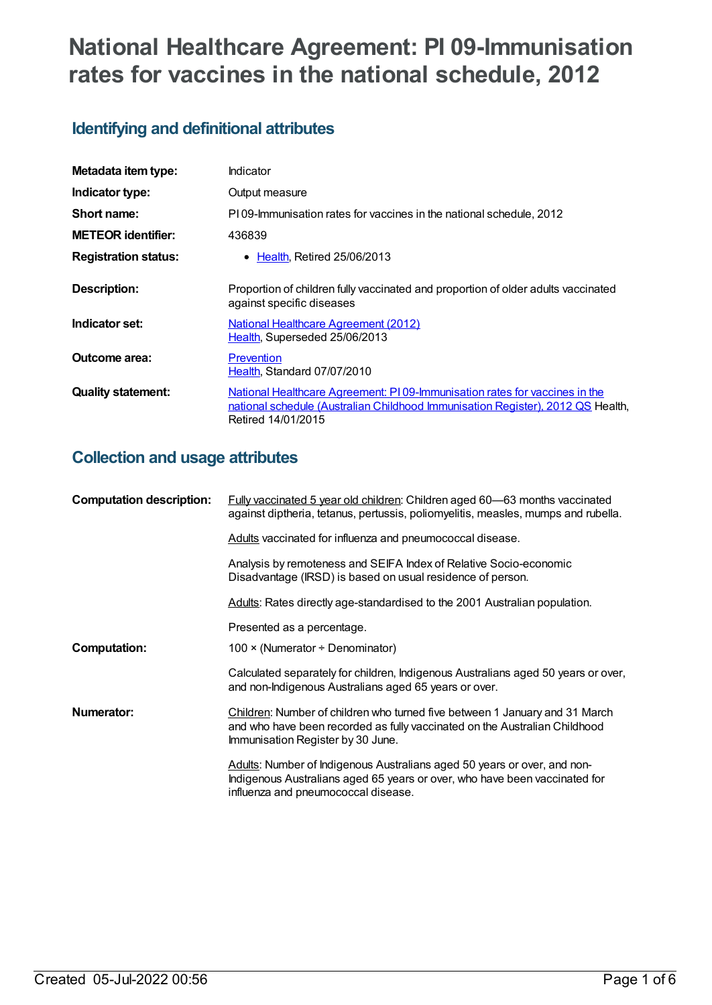# **National Healthcare Agreement: PI 09-Immunisation rates for vaccines in the national schedule, 2012**

# **Identifying and definitional attributes**

| Metadata item type:         | Indicator                                                                                                                                                                            |
|-----------------------------|--------------------------------------------------------------------------------------------------------------------------------------------------------------------------------------|
| Indicator type:             | Output measure                                                                                                                                                                       |
| Short name:                 | PI09-Immunisation rates for vaccines in the national schedule, 2012                                                                                                                  |
| <b>METEOR identifier:</b>   | 436839                                                                                                                                                                               |
| <b>Registration status:</b> | <b>Health, Retired 25/06/2013</b><br>$\bullet$                                                                                                                                       |
| <b>Description:</b>         | Proportion of children fully vaccinated and proportion of older adults vaccinated<br>against specific diseases                                                                       |
| Indicator set:              | <b>National Healthcare Agreement (2012)</b><br>Health, Superseded 25/06/2013                                                                                                         |
| Outcome area:               | Prevention<br>Health, Standard 07/07/2010                                                                                                                                            |
| <b>Quality statement:</b>   | National Healthcare Agreement: PI 09-lmmunisation rates for vaccines in the<br>national schedule (Australian Childhood Immunisation Register), 2012 QS Health,<br>Retired 14/01/2015 |

# **Collection and usage attributes**

| <b>Computation description:</b> | <b>Fully vaccinated 5 year old children: Children aged 60-63 months vaccinated</b><br>against diptheria, tetanus, pertussis, poliomyelitis, measles, mumps and rubella.                        |
|---------------------------------|------------------------------------------------------------------------------------------------------------------------------------------------------------------------------------------------|
|                                 | Adults vaccinated for influenza and pneumococcal disease.                                                                                                                                      |
|                                 | Analysis by remoteness and SEIFA Index of Relative Socio-economic<br>Disadvantage (IRSD) is based on usual residence of person.                                                                |
|                                 | Adults: Rates directly age-standardised to the 2001 Australian population.                                                                                                                     |
|                                 | Presented as a percentage.                                                                                                                                                                     |
| <b>Computation:</b>             | 100 $\times$ (Numerator ÷ Denominator)                                                                                                                                                         |
|                                 | Calculated separately for children, Indigenous Australians aged 50 years or over,<br>and non-Indigenous Australians aged 65 years or over.                                                     |
| Numerator:                      | Children: Number of children who turned five between 1 January and 31 March<br>and who have been recorded as fully vaccinated on the Australian Childhood<br>Immunisation Register by 30 June. |
|                                 | Adults: Number of Indigenous Australians aged 50 years or over, and non-<br>Indigenous Australians aged 65 years or over, who have been vaccinated for<br>influenza and pneumococcal disease.  |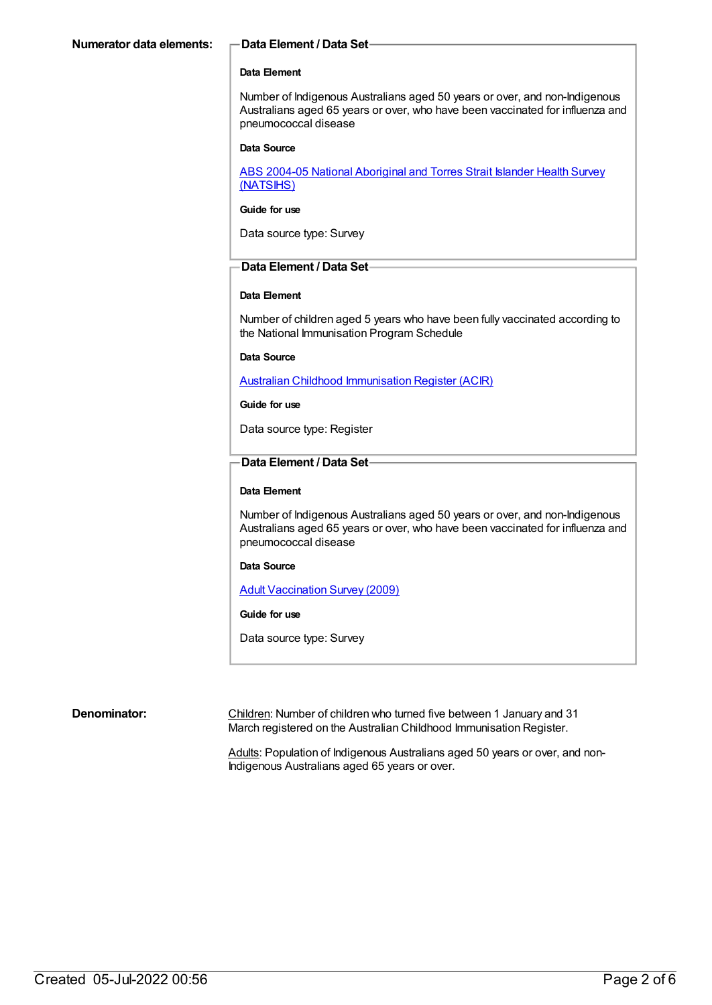## **Data Element**

Number of Indigenous Australians aged 50 years or over, and non-Indigenous Australians aged 65 years or over, who have been vaccinated for influenza and pneumococcal disease

#### **Data Source**

ABS 2004-05 National [Aboriginal](https://meteor.aihw.gov.au/content/394146) and Torres Strait Islander Health Survey (NATSIHS)

## **Guide for use**

Data source type: Survey

# **Data Element / Data Set**

## **Data Element**

Number of children aged 5 years who have been fully vaccinated according to the National Immunisation Program Schedule

**Data Source**

Australian Childhood [Immunisation](https://meteor.aihw.gov.au/content/394254) Register (ACIR)

#### **Guide for use**

Data source type: Register

# **Data Element / Data Set**

# **Data Element**

Number of Indigenous Australians aged 50 years or over, and non-Indigenous Australians aged 65 years or over, who have been vaccinated for influenza and pneumococcal disease

#### **Data Source**

Adult [Vaccination](https://meteor.aihw.gov.au/content/426232) Survey (2009)

## **Guide for use**

Data source type: Survey

**Denominator:** Children: Number of children who turned five between 1 January and 31 March registered on the Australian Childhood Immunisation Register.

> Adults: Population of Indigenous Australians aged 50 years or over, and non-Indigenous Australians aged 65 years or over.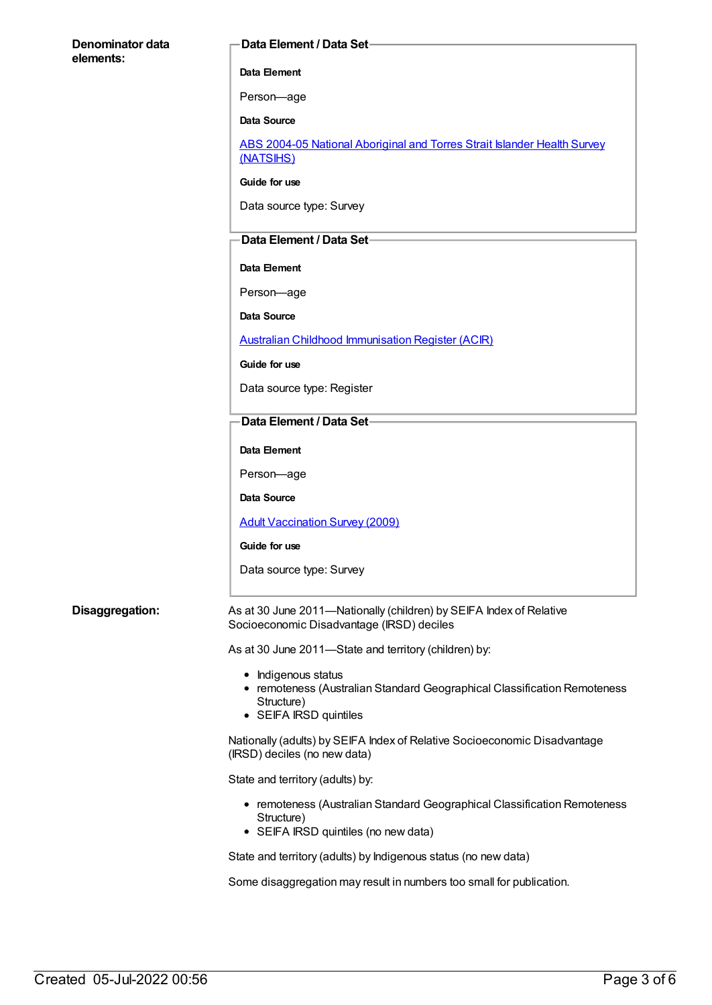# **Denominator data elements:**

## **Data Element / Data Set**

## **Data Element**

Person—age

**Data Source**

ABS 2004-05 National [Aboriginal](https://meteor.aihw.gov.au/content/394146) and Torres Strait Islander Health Survey (NATSIHS)

**Guide for use**

Data source type: Survey

# **Data Element / Data Set**

**Data Element**

Person—age

**Data Source**

# Australian Childhood [Immunisation](https://meteor.aihw.gov.au/content/394254) Register (ACIR)

**Guide for use**

Data source type: Register

# **Data Element / Data Set**

# **Data Element**

Person—age

**Data Source**

Adult [Vaccination](https://meteor.aihw.gov.au/content/426232) Survey (2009)

## **Guide for use**

Data source type: Survey

## **Disaggregation:** As at 30 June 2011—Nationally (children) by SEIFA Index of Relative Socioeconomic Disadvantage (IRSD) deciles

As at 30 June 2011—State and territory (children) by:

- Indigenous status
- remoteness (Australian Standard Geographical Classification Remoteness Structure)
- SEIFA IRSD quintiles

Nationally (adults) by SEIFA Index of Relative Socioeconomic Disadvantage (IRSD) deciles (no new data)

State and territory (adults) by:

- remoteness (Australian Standard Geographical Classification Remoteness Structure)
- SEIFA IRSD quintiles (no new data)

State and territory (adults) by Indigenous status (no new data)

Some disaggregation may result in numbers too small for publication.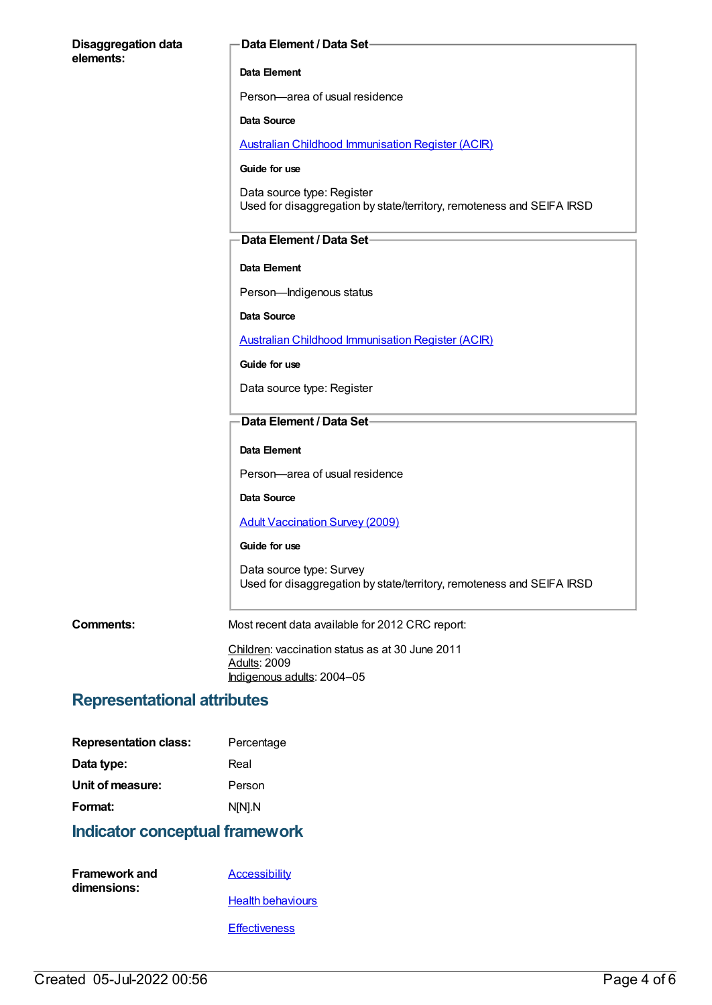| <b>Disaggregation data</b><br>elements: | Data Element / Data Set-                                                                            |
|-----------------------------------------|-----------------------------------------------------------------------------------------------------|
|                                         | Data Element                                                                                        |
|                                         | Person-area of usual residence                                                                      |
|                                         | Data Source                                                                                         |
|                                         | <b>Australian Childhood Immunisation Register (ACIR)</b>                                            |
|                                         | Guide for use                                                                                       |
|                                         | Data source type: Register<br>Used for disaggregation by state/territory, remoteness and SEIFA IRSD |
|                                         | Data Element / Data Set-                                                                            |
|                                         | Data Element                                                                                        |
|                                         | Person-Indigenous status                                                                            |
|                                         | <b>Data Source</b>                                                                                  |
|                                         | <b>Australian Childhood Immunisation Register (ACIR)</b>                                            |
|                                         | Guide for use                                                                                       |
|                                         | Data source type: Register                                                                          |
|                                         | Data Element / Data Set-                                                                            |
|                                         | Data Element                                                                                        |
|                                         | Person-area of usual residence                                                                      |
|                                         | Data Source                                                                                         |
|                                         | <b>Adult Vaccination Survey (2009)</b>                                                              |
|                                         | Guide for use                                                                                       |
|                                         | Data source type: Survey<br>Used for disaggregation by state/territory, remoteness and SEIFA IRSD   |
| <b>Comments:</b>                        | Most recent data available for 2012 CRC report:                                                     |
|                                         | Children: vaccination status as at 30 June 2011<br><b>Adults: 2009</b>                              |
|                                         | Indigenous adults: 2004-05                                                                          |

# **Representational attributes**

| <b>Representation class:</b>          | Percentage |  |
|---------------------------------------|------------|--|
| Data type:                            | Real       |  |
| Unit of measure:                      | Person     |  |
| Format:                               | N[N].N     |  |
| <b>Indicator conceptual framework</b> |            |  |

| <b>Framework and</b> | Accessibility            |
|----------------------|--------------------------|
| dimensions:          |                          |
|                      | <b>Health behaviours</b> |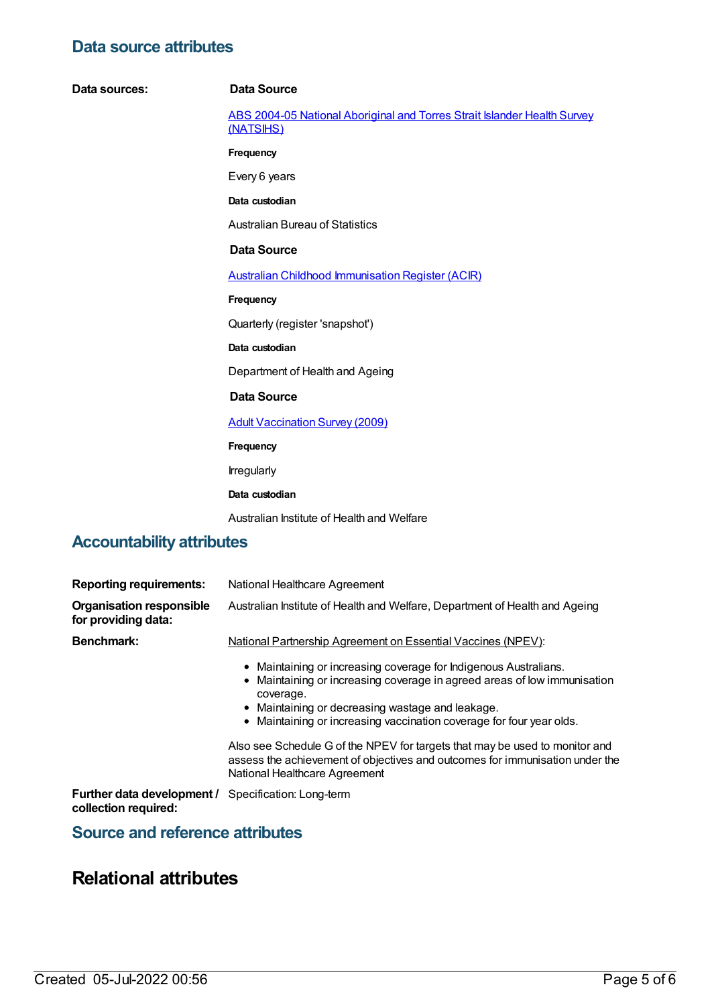# **Data source attributes**

#### **Data sources: Data Source**

ABS 2004-05 National [Aboriginal](https://meteor.aihw.gov.au/content/394146) and Torres Strait Islander Health Survey (NATSIHS)

**Frequency**

Every 6 years

**Data custodian**

Australian Bureau of Statistics

# **Data Source**

Australian Childhood [Immunisation](https://meteor.aihw.gov.au/content/394254) Register (ACIR)

**Frequency**

Quarterly (register 'snapshot')

**Data custodian**

Department of Health and Ageing

#### **Data Source**

Adult [Vaccination](https://meteor.aihw.gov.au/content/426232) Survey (2009)

**Frequency**

Irregularly

#### **Data custodian**

Australian Institute of Health and Welfare

# **Accountability attributes**

| <b>Reporting requirements:</b>                         | National Healthcare Agreement                                                                                                                                                                                                                                                         |
|--------------------------------------------------------|---------------------------------------------------------------------------------------------------------------------------------------------------------------------------------------------------------------------------------------------------------------------------------------|
| <b>Organisation responsible</b><br>for providing data: | Australian Institute of Health and Welfare, Department of Health and Ageing                                                                                                                                                                                                           |
| <b>Benchmark:</b>                                      | <b>National Partnership Agreement on Essential Vaccines (NPEV):</b>                                                                                                                                                                                                                   |
|                                                        | • Maintaining or increasing coverage for Indigenous Australians.<br>• Maintaining or increasing coverage in agreed areas of low immunisation<br>coverage.<br>• Maintaining or decreasing wastage and leakage.<br>• Maintaining or increasing vaccination coverage for four year olds. |
|                                                        | Also see Schedule G of the NPEV for targets that may be used to monitor and<br>assess the achievement of objectives and outcomes for immunisation under the<br>National Healthcare Agreement                                                                                          |

**Further data development /** Specification: Long-term **collection required:**

# **Source and reference attributes**

# **Relational attributes**